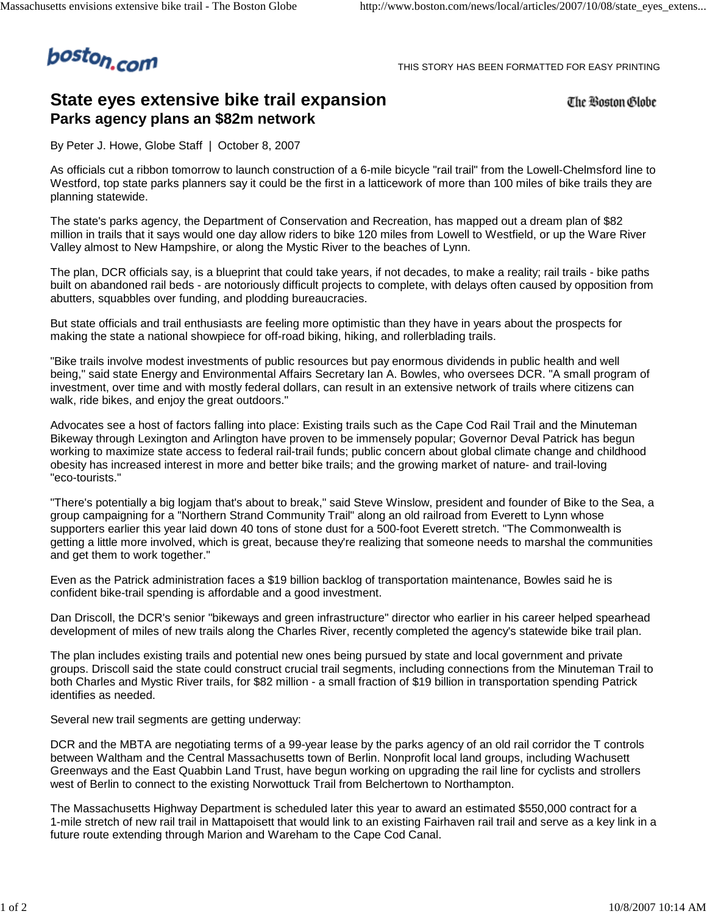

THIS STORY HAS BEEN FORMATTED FOR EASY PRINTING

## **State eyes extensive bike trail expansion Parks agency plans an \$82m network**

The Boston Globe

By Peter J. Howe, Globe Staff | October 8, 2007

As officials cut a ribbon tomorrow to launch construction of a 6-mile bicycle "rail trail" from the Lowell-Chelmsford line to Westford, top state parks planners say it could be the first in a latticework of more than 100 miles of bike trails they are planning statewide.

The state's parks agency, the Department of Conservation and Recreation, has mapped out a dream plan of \$82 million in trails that it says would one day allow riders to bike 120 miles from Lowell to Westfield, or up the Ware River Valley almost to New Hampshire, or along the Mystic River to the beaches of Lynn.

The plan, DCR officials say, is a blueprint that could take years, if not decades, to make a reality; rail trails - bike paths built on abandoned rail beds - are notoriously difficult projects to complete, with delays often caused by opposition from abutters, squabbles over funding, and plodding bureaucracies.

But state officials and trail enthusiasts are feeling more optimistic than they have in years about the prospects for making the state a national showpiece for off-road biking, hiking, and rollerblading trails.

"Bike trails involve modest investments of public resources but pay enormous dividends in public health and well being," said state Energy and Environmental Affairs Secretary Ian A. Bowles, who oversees DCR. "A small program of investment, over time and with mostly federal dollars, can result in an extensive network of trails where citizens can walk, ride bikes, and enjoy the great outdoors."

Advocates see a host of factors falling into place: Existing trails such as the Cape Cod Rail Trail and the Minuteman Bikeway through Lexington and Arlington have proven to be immensely popular; Governor Deval Patrick has begun working to maximize state access to federal rail-trail funds; public concern about global climate change and childhood obesity has increased interest in more and better bike trails; and the growing market of nature- and trail-loving "eco-tourists."

"There's potentially a big logjam that's about to break," said Steve Winslow, president and founder of Bike to the Sea, a group campaigning for a "Northern Strand Community Trail" along an old railroad from Everett to Lynn whose supporters earlier this year laid down 40 tons of stone dust for a 500-foot Everett stretch. "The Commonwealth is getting a little more involved, which is great, because they're realizing that someone needs to marshal the communities and get them to work together."

Even as the Patrick administration faces a \$19 billion backlog of transportation maintenance, Bowles said he is confident bike-trail spending is affordable and a good investment.

Dan Driscoll, the DCR's senior "bikeways and green infrastructure" director who earlier in his career helped spearhead development of miles of new trails along the Charles River, recently completed the agency's statewide bike trail plan.

The plan includes existing trails and potential new ones being pursued by state and local government and private groups. Driscoll said the state could construct crucial trail segments, including connections from the Minuteman Trail to both Charles and Mystic River trails, for \$82 million - a small fraction of \$19 billion in transportation spending Patrick identifies as needed.

Several new trail segments are getting underway:

DCR and the MBTA are negotiating terms of a 99-year lease by the parks agency of an old rail corridor the T controls between Waltham and the Central Massachusetts town of Berlin. Nonprofit local land groups, including Wachusett Greenways and the East Quabbin Land Trust, have begun working on upgrading the rail line for cyclists and strollers west of Berlin to connect to the existing Norwottuck Trail from Belchertown to Northampton.

The Massachusetts Highway Department is scheduled later this year to award an estimated \$550,000 contract for a 1-mile stretch of new rail trail in Mattapoisett that would link to an existing Fairhaven rail trail and serve as a key link in a future route extending through Marion and Wareham to the Cape Cod Canal.